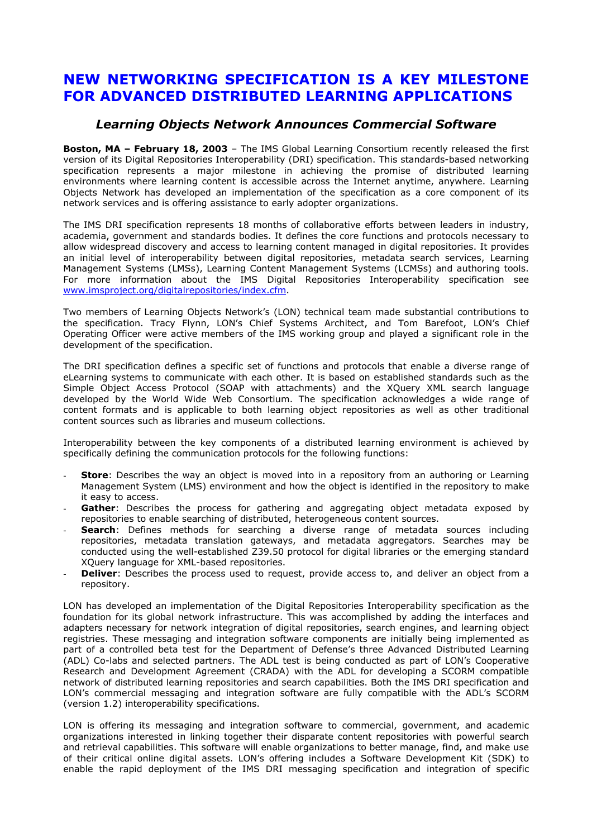## **NEW NETWORKING SPECIFICATION IS A KEY MILESTONE FOR ADVANCED DISTRIBUTED LEARNING APPLICATIONS**

## *Learning Objects Network Announces Commercial Software*

**Boston, MA - February 18, 2003** - The IMS Global Learning Consortium recently released the first version of its Digital Repositories Interoperability (DRI) specification. This standards-based networking specification represents a major milestone in achieving the promise of distributed learning environments where learning content is accessible across the Internet anytime, anywhere. Learning Objects Network has developed an implementation of the specification as a core component of its network services and is offering assistance to early adopter organizations.

The IMS DRI specification represents 18 months of collaborative efforts between leaders in industry, academia, government and standards bodies. It defines the core functions and protocols necessary to allow widespread discovery and access to learning content managed in digital repositories. It provides an initial level of interoperability between digital repositories, metadata search services, Learning Management Systems (LMSs), Learning Content Management Systems (LCMSs) and authoring tools. For more information about the IMS Digital Repositories Interoperability specification see [www.imsproject.org/digitalrepositories/index.cfm.](http://www.imsproject.org/digitalrepositories/index.cfm)

Two members of Learning Objects Networkís (LON) technical team made substantial contributions to the specification. Tracy Flynn, LONís Chief Systems Architect, and Tom Barefoot, LONís Chief Operating Officer were active members of the IMS working group and played a significant role in the development of the specification.

The DRI specification defines a specific set of functions and protocols that enable a diverse range of eLearning systems to communicate with each other. It is based on established standards such as the Simple Object Access Protocol (SOAP with attachments) and the XQuery XML search language developed by the World Wide Web Consortium. The specification acknowledges a wide range of content formats and is applicable to both learning object repositories as well as other traditional content sources such as libraries and museum collections.

Interoperability between the key components of a distributed learning environment is achieved by specifically defining the communication protocols for the following functions:

- **Store**: Describes the way an object is moved into in a repository from an authoring or Learning Management System (LMS) environment and how the object is identified in the repository to make it easy to access.
- Gather: Describes the process for gathering and aggregating object metadata exposed by repositories to enable searching of distributed, heterogeneous content sources.
- Search: Defines methods for searching a diverse range of metadata sources including repositories, metadata translation gateways, and metadata aggregators. Searches may be conducted using the well-established Z39.50 protocol for digital libraries or the emerging standard XQuery language for XML-based repositories.
- **Deliver**: Describes the process used to request, provide access to, and deliver an object from a repository.

LON has developed an implementation of the Digital Repositories Interoperability specification as the foundation for its global network infrastructure. This was accomplished by adding the interfaces and adapters necessary for network integration of digital repositories, search engines, and learning object registries. These messaging and integration software components are initially being implemented as part of a controlled beta test for the Department of Defense's three Advanced Distributed Learning (ADL) Co-labs and selected partners. The ADL test is being conducted as part of LONís Cooperative Research and Development Agreement (CRADA) with the ADL for developing a SCORM compatible network of distributed learning repositories and search capabilities. Both the IMS DRI specification and LON's commercial messaging and integration software are fully compatible with the ADL's SCORM (version 1.2) interoperability specifications.

LON is offering its messaging and integration software to commercial, government, and academic organizations interested in linking together their disparate content repositories with powerful search and retrieval capabilities. This software will enable organizations to better manage, find, and make use of their critical online digital assets. LON's offering includes a Software Development Kit (SDK) to enable the rapid deployment of the IMS DRI messaging specification and integration of specific